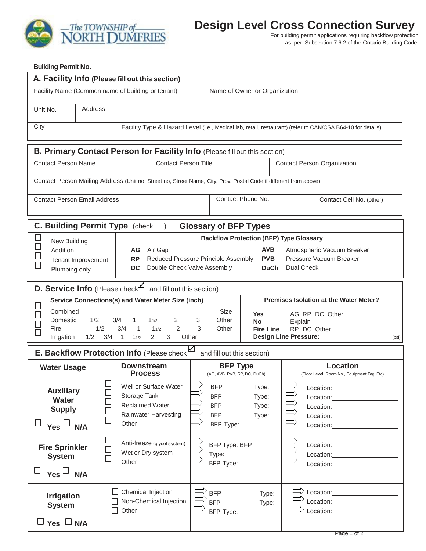

## **Design Level Cross Connection Survey**

For building permit applications requiring backflow protection as per Subsection 7.6.2 of the Ontario Building Code.

## **Building Permit No.**

| A. Facility Info (Please fill out this section)                                                                                                                   |                                                                                                                                                                                    |                                                                                                       |                                                                                                                                                                                                                                                                                                                                                                                             |  |  |
|-------------------------------------------------------------------------------------------------------------------------------------------------------------------|------------------------------------------------------------------------------------------------------------------------------------------------------------------------------------|-------------------------------------------------------------------------------------------------------|---------------------------------------------------------------------------------------------------------------------------------------------------------------------------------------------------------------------------------------------------------------------------------------------------------------------------------------------------------------------------------------------|--|--|
| Facility Name (Common name of building or tenant)                                                                                                                 |                                                                                                                                                                                    | Name of Owner or Organization                                                                         |                                                                                                                                                                                                                                                                                                                                                                                             |  |  |
| Unit No.<br>Address                                                                                                                                               |                                                                                                                                                                                    |                                                                                                       |                                                                                                                                                                                                                                                                                                                                                                                             |  |  |
| City<br>Facility Type & Hazard Level (i.e., Medical lab, retail, restaurant) (refer to CAN/CSA B64-10 for details)                                                |                                                                                                                                                                                    |                                                                                                       |                                                                                                                                                                                                                                                                                                                                                                                             |  |  |
| B. Primary Contact Person for Facility Info (Please fill out this section)                                                                                        |                                                                                                                                                                                    |                                                                                                       |                                                                                                                                                                                                                                                                                                                                                                                             |  |  |
| <b>Contact Person Name</b>                                                                                                                                        | <b>Contact Person Title</b>                                                                                                                                                        |                                                                                                       | <b>Contact Person Organization</b>                                                                                                                                                                                                                                                                                                                                                          |  |  |
| Contact Person Mailing Address (Unit no, Street no, Street Name, City, Prov. Postal Code if different from above)                                                 |                                                                                                                                                                                    |                                                                                                       |                                                                                                                                                                                                                                                                                                                                                                                             |  |  |
| <b>Contact Person Email Address</b>                                                                                                                               |                                                                                                                                                                                    | Contact Phone No.                                                                                     | Contact Cell No. (other)                                                                                                                                                                                                                                                                                                                                                                    |  |  |
| <b>C. Building Permit Type (check)</b><br><b>Glossary of BFP Types</b>                                                                                            |                                                                                                                                                                                    |                                                                                                       |                                                                                                                                                                                                                                                                                                                                                                                             |  |  |
| $\Box$<br><b>Backflow Protection (BFP) Type Glossary</b><br>New Building<br>$\Box$<br><b>AVB</b>                                                                  |                                                                                                                                                                                    |                                                                                                       |                                                                                                                                                                                                                                                                                                                                                                                             |  |  |
| Addition<br>AG Air Gap<br><b>RP</b><br>Reduced Pressure Principle Assembly<br>Tenant Improvement<br>$\Box$<br>Double Check Valve Assembly<br>DC.<br>Plumbing only |                                                                                                                                                                                    | Atmospheric Vacuum Breaker<br><b>PVB</b><br>Pressure Vacuum Breaker<br>Dual Check<br><b>DuCh</b>      |                                                                                                                                                                                                                                                                                                                                                                                             |  |  |
| D. Service Info (Please check and fill out this section)                                                                                                          |                                                                                                                                                                                    |                                                                                                       |                                                                                                                                                                                                                                                                                                                                                                                             |  |  |
| Combined<br>Domestic<br>1/2<br>Fire<br>1/2<br>Irrigation                                                                                                          | Service Connections(s) and Water Meter Size (inch)<br>3/4<br>11/2<br>1<br>2<br>3<br>1/2<br>2<br>3<br>3/4<br>11/2<br>1<br>$3/4$ 1<br>$2^{\circ}$<br>3 <sup>1</sup><br>Other<br>11/2 | <b>Size</b><br><b>Yes</b><br>Other<br><b>No</b><br>Other<br><b>Fire Line</b>                          | <b>Premises Isolation at the Water Meter?</b><br>AG RP DC Other____________<br>Explain<br>RP DC Other___________<br>Design Line Pressure:<br>(psl)                                                                                                                                                                                                                                          |  |  |
| E. Backflow Protection Info (Please check<br>and fill out this section)                                                                                           |                                                                                                                                                                                    |                                                                                                       |                                                                                                                                                                                                                                                                                                                                                                                             |  |  |
| <b>Water Usage</b>                                                                                                                                                | <b>Downstream</b><br><b>Process</b>                                                                                                                                                | <b>BFP Type</b><br>(AG, AVB, PVB, RP, DC, DuCh)                                                       | <b>Location</b><br>(Floor Level, Room No., Equipment Tag, Etc)                                                                                                                                                                                                                                                                                                                              |  |  |
| <b>Auxiliary</b><br><b>Water</b><br><b>Supply</b><br>$\Box$<br>Yes L<br>N/A                                                                                       | $\Box$<br>$\overline{\phantom{a}}$<br>Well or Surface Water<br>$\Box$<br>Storage Tank<br>Reclaimed Water<br><b>Rainwater Harvesting</b><br>$\Box$                                  | <b>BFP</b><br>Type:<br><b>BFP</b><br>Type:<br><b>BFP</b><br>Type:<br><b>BFP</b><br>Type:<br>BFP Type: | $\Rightarrow$<br>Location: the contract of the contract of the contract of the contract of the contract of the contract of the contract of the contract of the contract of the contract of the contract of the contract of the contract of the<br>Location: _______________________<br>Location: New York Decay and Decay and Decay and Decay and Decay and Decay and Decay and Decay and D |  |  |
| <b>Fire Sprinkler</b><br><b>System</b><br>ப<br>Yes $\Box$<br>N/A                                                                                                  | $\Box$<br>Anti-freeze (glycol system)<br>$\Box$<br>Wet or Dry system<br>$\Box$<br>Other <sup>-</sup>                                                                               | BFP Type: BFP<br>Type: ______________<br>BFP Type:                                                    | 以付<br>Location: New York Decay and Decay and Decay and Decay and Decay and Decay and Decay and Decay and D                                                                                                                                                                                                                                                                                  |  |  |
| <b>Irrigation</b><br><b>System</b><br>$\Box$ Yes $\Box$ N/A                                                                                                       | Chemical Injection<br>Non-Chemical Injection<br>П                                                                                                                                  | <b>BFP</b><br>Type:<br><b>BFP</b><br>Type:<br>BFP Type:                                               | Location: <u>www.community.com</u>                                                                                                                                                                                                                                                                                                                                                          |  |  |